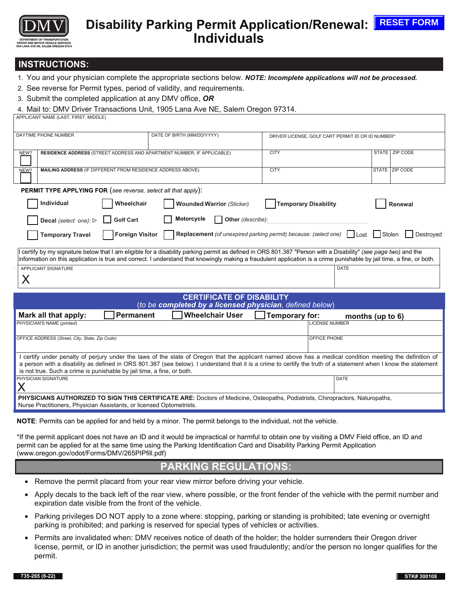

# Disability Parking Permit Application/Renewal: E<sup>RESET FORM</sup> **Individuals**

## **INSTRUCTIONS:**

- 1. You and your physician complete the appropriate sections below. *NOTE: Incomplete applications will not be processed.*
- 2. See reverse for Permit types, period of validity, and requirements.
- 3. Submit the completed application at any DMV office, *OR*

#### 4. Mail to: DMV Driver Transactions Unit, 1905 Lana Ave NE, Salem Oregon 97314.

| APPLICANT NAME (LAST, FIRST, MIDDLE) |  |
|--------------------------------------|--|

| DAYTIME PHONE NUMBER                                                                                                                                                  | DATE OF BIRTH (MM/DD/YYYY)                               | DRIVER LICENSE, GOLF CART PERMIT ID OR ID NUMBER* |                  |  |
|-----------------------------------------------------------------------------------------------------------------------------------------------------------------------|----------------------------------------------------------|---------------------------------------------------|------------------|--|
|                                                                                                                                                                       |                                                          |                                                   |                  |  |
| RESIDENCE ADDRESS (STREET ADDRESS AND APARTMENT NUMBER, IF APPLICABLE)<br>NEW?                                                                                        |                                                          | <b>CITY</b>                                       | STATE ZIP CODE   |  |
|                                                                                                                                                                       |                                                          |                                                   |                  |  |
| <b>MAILING ADDRESS (IF DIFFERENT FROM RESIDENCE ADDRESS ABOVE)</b><br>NEW?                                                                                            |                                                          | <b>CITY</b>                                       | STATE ZIP CODE   |  |
|                                                                                                                                                                       |                                                          |                                                   |                  |  |
| <b>PERMIT TYPE APPLYING FOR (see reverse, select all that apply):</b>                                                                                                 |                                                          |                                                   |                  |  |
| Individual<br>Wheelchair                                                                                                                                              | <b>Wounded Warrior (Sticker)</b>                         | <b>Temporary Disability</b>                       | Renewal          |  |
| Motorcycle<br>Other (describe):<br>  Golf Cart<br><b>Decal</b> (select one): $\triangleright$                                                                         |                                                          |                                                   |                  |  |
| <b>Replacement</b> (of unexpired parking permit) because: (select one)   Lost   Stolen   Destroyed<br><b>Foreign Visitor</b><br><b>Temporary Travel</b>               |                                                          |                                                   |                  |  |
| certify by my signature below that I am eligible for a disability parking permit as defined in ORS 801.387 "Person with a Disability" (see page two) and the          |                                                          |                                                   |                  |  |
| information on this application is true and correct. I understand that knowingly making a fraudulent application is a crime punishable by jail time, a fine, or both. |                                                          |                                                   |                  |  |
| DATE<br>APPLICANT SIGNATURE                                                                                                                                           |                                                          |                                                   |                  |  |
| X                                                                                                                                                                     |                                                          |                                                   |                  |  |
|                                                                                                                                                                       |                                                          |                                                   |                  |  |
|                                                                                                                                                                       |                                                          |                                                   |                  |  |
|                                                                                                                                                                       | <b>CERTIFICATE OF DISABILITY</b>                         |                                                   |                  |  |
|                                                                                                                                                                       | (to be completed by a licensed physician, defined below) |                                                   |                  |  |
| Mark all that apply:<br><b>Permanent</b>                                                                                                                              | <b>Wheelchair User</b>                                   | Temporary for:                                    | months (up to 6) |  |
| PHYSICIAN'S NAME (printed)<br><b>LICENSE NUMBER</b>                                                                                                                   |                                                          |                                                   |                  |  |
|                                                                                                                                                                       |                                                          |                                                   |                  |  |
| OFFICE ADDRESS (Street, City, State, Zip Code)<br>OFFICE PHONE                                                                                                        |                                                          |                                                   |                  |  |
|                                                                                                                                                                       |                                                          |                                                   |                  |  |
| I certify under penalty of perjury under the laws of the state of Oregon that the applicant named above has a medical condition meeting the definition of             |                                                          |                                                   |                  |  |
| a person with a disability as defined in ORS 801.387 (see below). I understand that it is a crime to certify the truth of a statement when I know the statement       |                                                          |                                                   |                  |  |
| is not true. Such a crime is punishable by jail time, a fine, or both.                                                                                                |                                                          |                                                   |                  |  |
| PHYSICIAN SIGNATURE                                                                                                                                                   |                                                          |                                                   | DATE             |  |
| X                                                                                                                                                                     |                                                          |                                                   |                  |  |
| PHYSICIANS AUTHORIZED TO SIGN THIS CERTIFICATE ARE: Doctors of Medicine, Osteopaths, Podiatrists, Chiropractors, Naturopaths,                                         |                                                          |                                                   |                  |  |
| Nurse Practitioners, Physician Assistants, or licensed Optometrists.                                                                                                  |                                                          |                                                   |                  |  |
|                                                                                                                                                                       |                                                          |                                                   |                  |  |

**NOTE**: Permits can be applied for and held by a minor. The permit belongs to the individual, not the vehicle.

\*If the permit applicant does not have an ID and it would be impractical or harmful to obtain one by visiting a DMV Field office, an ID and permit can be applied for at the same time using the Parking Identification Card and Disability Parking Permit Application (www.oregon.gov/odot/Forms/DMV/265PIPfill.pdf)

# **PARKING REGULATIONS:**

- Remove the permit placard from your rear view mirror before driving your vehicle.
- Apply decals to the back left of the rear view, where possible, or the front fender of the vehicle with the permit number and expiration date visible from the front of the vehicle.
- Parking privileges DO NOT apply to a zone where: stopping, parking or standing is prohibited; late evening or overnight parking is prohibited; and parking is reserved for special types of vehicles or activities.
- Permits are invalidated when: DMV receives notice of death of the holder; the holder surrenders their Oregon driver license, permit, or ID in another jurisdiction; the permit was used fraudulently; and/or the person no longer qualifies for the permit.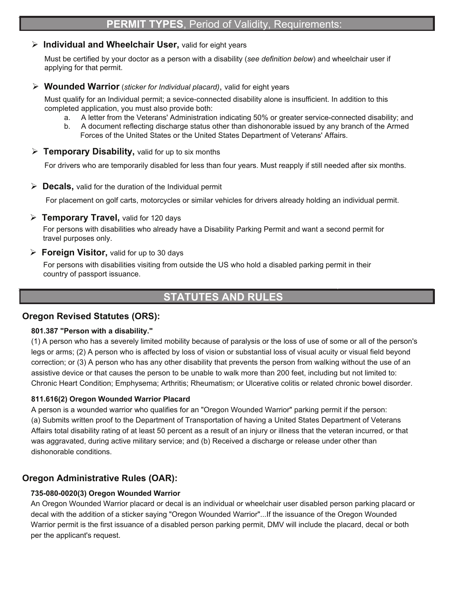## **Individual and Wheelchair User,** valid for eight years

Must be certified by your doctor as a person with a disability (*see definition below*) and wheelchair user if applying for that permit.

#### **Wounded Warrior** (*sticker for Individual placard)*, valid for eight years

Must qualify for an Individual permit; a sevice-connected disability alone is insufficient. In addition to this completed application, you must also provide both:

- a. A letter from the Veterans' Administration indicating 50% or greater service-connected disability; and
- b. A document reflecting discharge status other than dishonorable issued by any branch of the Armed Forces of the United States or the United States Department of Veterans' Affairs.
- **Temporary Disability,** valid for up to six months

For drivers who are temporarily disabled for less than four years. Must reapply if still needed after six months.

**Decals,** valid for the duration of the Individual permit

For placement on golf carts, motorcycles or similar vehicles for drivers already holding an individual permit.

## **Temporary Travel,** valid for 120 days

For persons with disabilities who already have a Disability Parking Permit and want a second permit for travel purposes only.

## **Foreign Visitor,** valid for up to 30 days

For persons with disabilities visiting from outside the US who hold a disabled parking permit in their country of passport issuance.

# **STATUTES AND RULES**

## **Oregon Revised Statutes (ORS):**

## **801.387 "Person with a disability."**

(1) A person who has a severely limited mobility because of paralysis or the loss of use of some or all of the person's legs or arms; (2) A person who is affected by loss of vision or substantial loss of visual acuity or visual field beyond correction; or (3) A person who has any other disability that prevents the person from walking without the use of an assistive device or that causes the person to be unable to walk more than 200 feet, including but not limited to: Chronic Heart Condition; Emphysema; Arthritis; Rheumatism; or Ulcerative colitis or related chronic bowel disorder.

## **811.616(2) Oregon Wounded Warrior Placard**

A person is a wounded warrior who qualifies for an "Oregon Wounded Warrior" parking permit if the person: (a) Submits written proof to the Department of Transportation of having a United States Department of Veterans Affairs total disability rating of at least 50 percent as a result of an injury or illness that the veteran incurred, or that was aggravated, during active military service; and (b) Received a discharge or release under other than dishonorable conditions.

## **Oregon Administrative Rules (OAR):**

## **735-080-0020(3) Oregon Wounded Warrior**

An Oregon Wounded Warrior placard or decal is an individual or wheelchair user disabled person parking placard or decal with the addition of a sticker saying "Oregon Wounded Warrior"...If the issuance of the Oregon Wounded Warrior permit is the first issuance of a disabled person parking permit, DMV will include the placard, decal or both per the applicant's request.